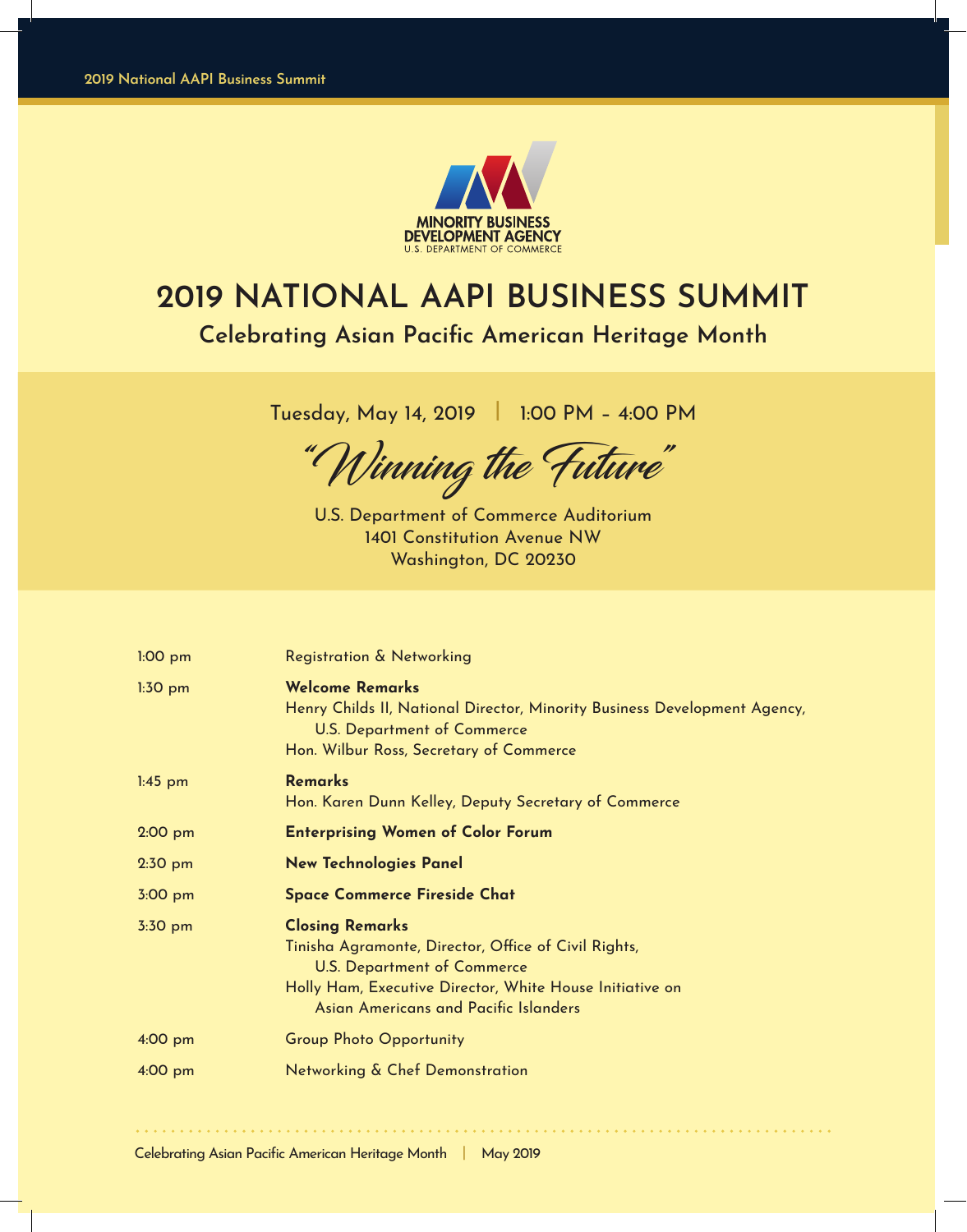

# **2019 NATIONAL AAPI BUSINESS SUMMIT Celebrating Asian Pacific American Heritage Month**

Tuesday, May 14, 2019 **|** 1:00 PM – 4:00 PM

"Winning the Future"

U.S. Department of Commerce Auditorium 1401 Constitution Avenue NW Washington, DC 20230

| $1:00$ pm | Registration & Networking                                                                                                                                                                                                 |
|-----------|---------------------------------------------------------------------------------------------------------------------------------------------------------------------------------------------------------------------------|
| $1:30$ pm | <b>Welcome Remarks</b><br>Henry Childs II, National Director, Minority Business Development Agency,<br><b>U.S. Department of Commerce</b><br>Hon. Wilbur Ross, Secretary of Commerce                                      |
| $1:45$ pm | <b>Remarks</b><br>Hon. Karen Dunn Kelley, Deputy Secretary of Commerce                                                                                                                                                    |
| $2:00$ pm | <b>Enterprising Women of Color Forum</b>                                                                                                                                                                                  |
| $2:30$ pm | <b>New Technologies Panel</b>                                                                                                                                                                                             |
| 3:00 pm   | <b>Space Commerce Fireside Chat</b>                                                                                                                                                                                       |
| 3:30 pm   | <b>Closing Remarks</b><br>Tinisha Agramonte, Director, Office of Civil Rights,<br><b>U.S. Department of Commerce</b><br>Holly Ham, Executive Director, White House Initiative on<br>Asian Americans and Pacific Islanders |
| 4:00 pm   | <b>Group Photo Opportunity</b>                                                                                                                                                                                            |
| 4:00 pm   | Networking & Chef Demonstration                                                                                                                                                                                           |
|           |                                                                                                                                                                                                                           |